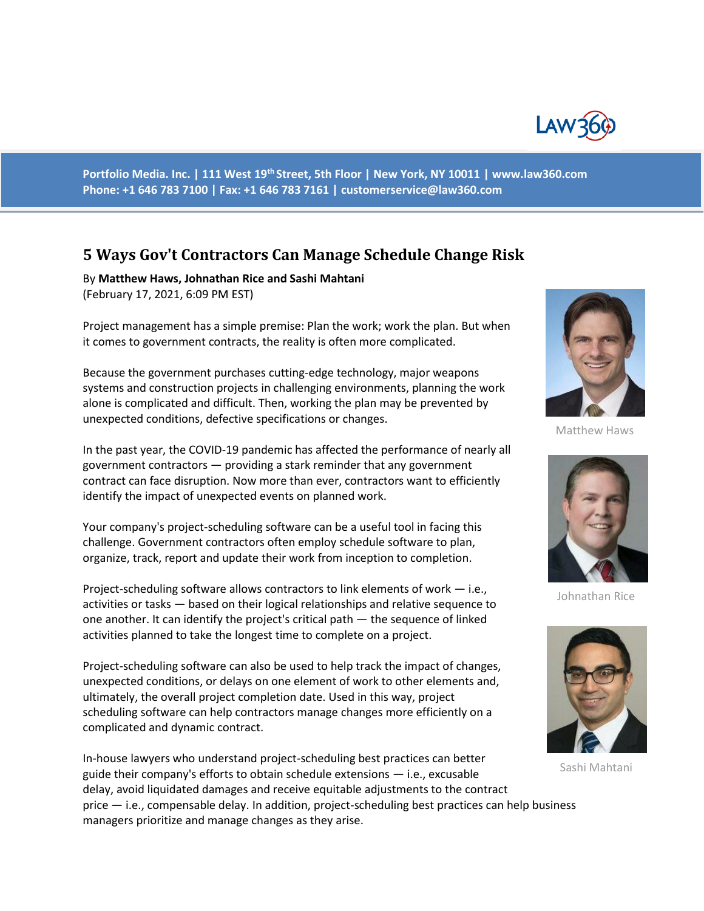

**Portfolio Media. Inc. | 111 West 19th Street, 5th Floor | New York, NY 10011 | www.law360.com Phone: +1 646 783 7100 | Fax: +1 646 783 7161 | customerservice@law360.com**

# **5 Ways Gov't Contractors Can Manage Schedule Change Risk**

By **Matthew Haws, Johnathan Rice and Sashi Mahtani**  (February 17, 2021, 6:09 PM EST)

Project management has a simple premise: Plan the work; work the plan. But when it comes to government contracts, the reality is often more complicated.

Because the government purchases cutting-edge technology, major weapons systems and construction projects in challenging environments, planning the work alone is complicated and difficult. Then, working the plan may be prevented by unexpected conditions, defective specifications or changes.

In the past year, the COVID-19 pandemic has affected the performance of nearly all government contractors — providing a stark reminder that any government contract can face disruption. Now more than ever, contractors want to efficiently identify the impact of unexpected events on planned work.

Your company's project-scheduling software can be a useful tool in facing this challenge. Government contractors often employ schedule software to plan, organize, track, report and update their work from inception to completion.

Project-scheduling software allows contractors to link elements of work — i.e., activities or tasks — based on their logical relationships and relative sequence to one another. It can identify the project's critical path — the sequence of linked activities planned to take the longest time to complete on a project.

Project-scheduling software can also be used to help track the impact of changes, unexpected conditions, or delays on one element of work to other elements and, ultimately, the overall project completion date. Used in this way, project scheduling software can help contractors manage changes more efficiently on a complicated and dynamic contract.

In-house lawyers who understand project-scheduling best practices can better guide their company's efforts to obtain schedule extensions — i.e., excusable delay, avoid liquidated damages and receive equitable adjustments to the contract price — i.e., compensable delay. In addition, project-scheduling best practices can help business managers prioritize and manage changes as they arise.



Matthew Haws



Johnathan Rice



Sashi Mahtani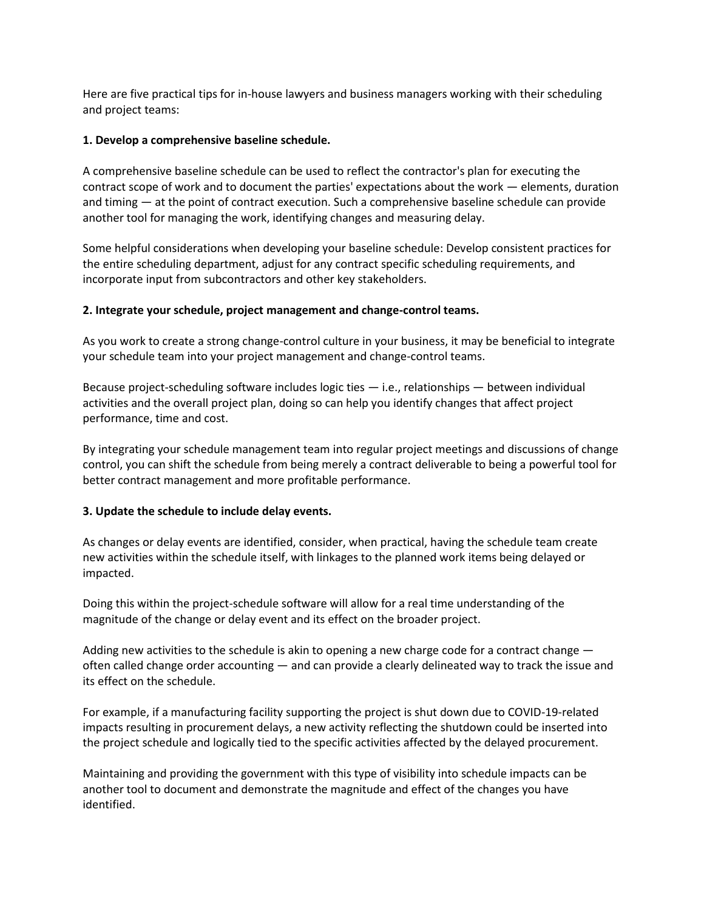Here are five practical tips for in-house lawyers and business managers working with their scheduling and project teams:

### **1. Develop a comprehensive baseline schedule.**

A comprehensive baseline schedule can be used to reflect the contractor's plan for executing the contract scope of work and to document the parties' expectations about the work — elements, duration and timing — at the point of contract execution. Such a comprehensive baseline schedule can provide another tool for managing the work, identifying changes and measuring delay.

Some helpful considerations when developing your baseline schedule: Develop consistent practices for the entire scheduling department, adjust for any contract specific scheduling requirements, and incorporate input from subcontractors and other key stakeholders.

# **2. Integrate your schedule, project management and change-control teams.**

As you work to create a strong change-control culture in your business, it may be beneficial to integrate your schedule team into your project management and change-control teams.

Because project-scheduling software includes logic ties  $-$  i.e., relationships  $-$  between individual activities and the overall project plan, doing so can help you identify changes that affect project performance, time and cost.

By integrating your schedule management team into regular project meetings and discussions of change control, you can shift the schedule from being merely a contract deliverable to being a powerful tool for better contract management and more profitable performance.

# **3. Update the schedule to include delay events.**

As changes or delay events are identified, consider, when practical, having the schedule team create new activities within the schedule itself, with linkages to the planned work items being delayed or impacted.

Doing this within the project-schedule software will allow for a real time understanding of the magnitude of the change or delay event and its effect on the broader project.

Adding new activities to the schedule is akin to opening a new charge code for a contract change  $$ often called change order accounting — and can provide a clearly delineated way to track the issue and its effect on the schedule.

For example, if a manufacturing facility supporting the project is shut down due to COVID-19-related impacts resulting in procurement delays, a new activity reflecting the shutdown could be inserted into the project schedule and logically tied to the specific activities affected by the delayed procurement.

Maintaining and providing the government with this type of visibility into schedule impacts can be another tool to document and demonstrate the magnitude and effect of the changes you have identified.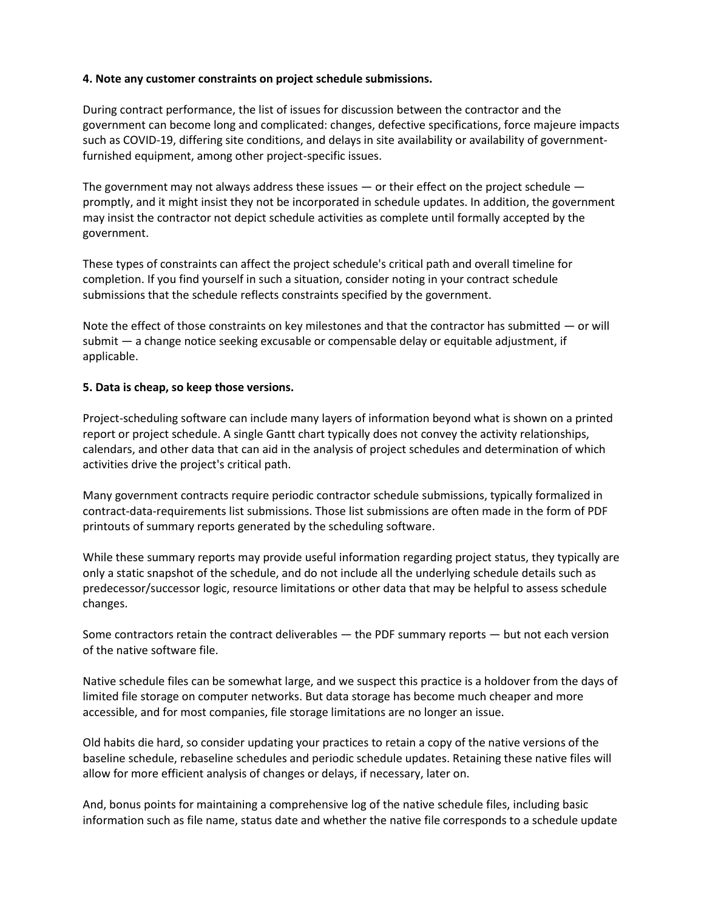# **4. Note any customer constraints on project schedule submissions.**

During contract performance, the list of issues for discussion between the contractor and the government can become long and complicated: changes, defective specifications, force majeure impacts such as COVID-19, differing site conditions, and delays in site availability or availability of governmentfurnished equipment, among other project-specific issues.

The government may not always address these issues  $-$  or their effect on the project schedule  $$ promptly, and it might insist they not be incorporated in schedule updates. In addition, the government may insist the contractor not depict schedule activities as complete until formally accepted by the government.

These types of constraints can affect the project schedule's critical path and overall timeline for completion. If you find yourself in such a situation, consider noting in your contract schedule submissions that the schedule reflects constraints specified by the government.

Note the effect of those constraints on key milestones and that the contractor has submitted — or will submit — a change notice seeking excusable or compensable delay or equitable adjustment, if applicable.

#### **5. Data is cheap, so keep those versions.**

Project-scheduling software can include many layers of information beyond what is shown on a printed report or project schedule. A single Gantt chart typically does not convey the activity relationships, calendars, and other data that can aid in the analysis of project schedules and determination of which activities drive the project's critical path.

Many government contracts require periodic contractor schedule submissions, typically formalized in contract-data-requirements list submissions. Those list submissions are often made in the form of PDF printouts of summary reports generated by the scheduling software.

While these summary reports may provide useful information regarding project status, they typically are only a static snapshot of the schedule, and do not include all the underlying schedule details such as predecessor/successor logic, resource limitations or other data that may be helpful to assess schedule changes.

Some contractors retain the contract deliverables — the PDF summary reports — but not each version of the native software file.

Native schedule files can be somewhat large, and we suspect this practice is a holdover from the days of limited file storage on computer networks. But data storage has become much cheaper and more accessible, and for most companies, file storage limitations are no longer an issue.

Old habits die hard, so consider updating your practices to retain a copy of the native versions of the baseline schedule, rebaseline schedules and periodic schedule updates. Retaining these native files will allow for more efficient analysis of changes or delays, if necessary, later on.

And, bonus points for maintaining a comprehensive log of the native schedule files, including basic information such as file name, status date and whether the native file corresponds to a schedule update